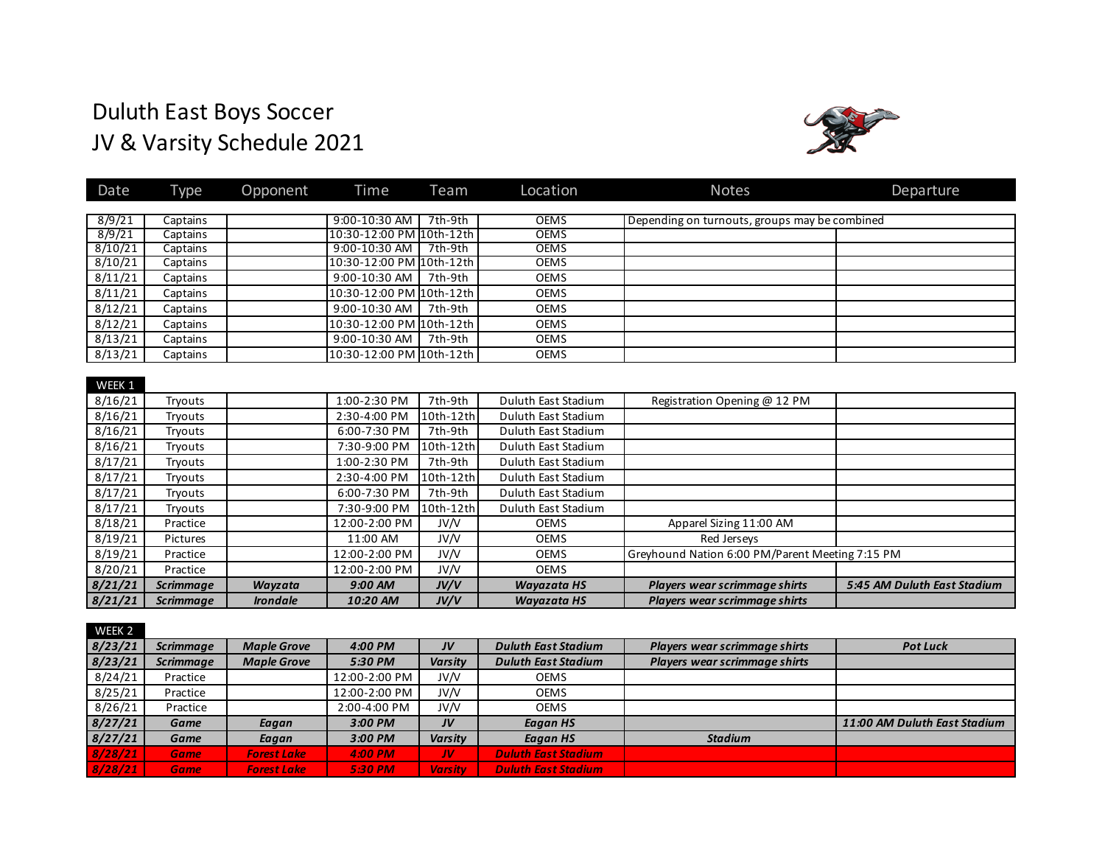# Duluth East Boys Soccer JV & Varsity Schedule 2021



| Date    | Type             | Opponent        | Time                     | Team      | Location                   | <b>Notes</b>                                    | Departure                   |
|---------|------------------|-----------------|--------------------------|-----------|----------------------------|-------------------------------------------------|-----------------------------|
|         |                  |                 |                          |           |                            |                                                 |                             |
| 8/9/21  | Captains         |                 | 9:00-10:30 AM            | 7th-9th   | <b>OEMS</b>                | Depending on turnouts, groups may be combined   |                             |
| 8/9/21  | Captains         |                 | 10:30-12:00 PM 10th-12th |           | <b>OEMS</b>                |                                                 |                             |
| 8/10/21 | Captains         |                 | 9:00-10:30 AM            | 7th-9th   | <b>OEMS</b><br><b>OEMS</b> |                                                 |                             |
| 8/10/21 | Captains         |                 | 10:30-12:00 PM 10th-12th |           |                            |                                                 |                             |
| 8/11/21 | Captains         |                 | 9:00-10:30 AM            | 7th-9th   | <b>OEMS</b>                |                                                 |                             |
| 8/11/21 | Captains         |                 | 10:30-12:00 PM 10th-12th |           | <b>OEMS</b>                |                                                 |                             |
| 8/12/21 | Captains         |                 | 9:00-10:30 AM            | 7th-9th   | <b>OEMS</b>                |                                                 |                             |
| 8/12/21 | Captains         |                 | 10:30-12:00 PM 10th-12th |           | <b>OEMS</b>                |                                                 |                             |
| 8/13/21 | Captains         |                 | 9:00-10:30 AM            | 7th-9th   | <b>OEMS</b>                |                                                 |                             |
| 8/13/21 | Captains         |                 | 10:30-12:00 PM 10th-12th |           | <b>OEMS</b>                |                                                 |                             |
|         |                  |                 |                          |           |                            |                                                 |                             |
| WEEK 1  |                  |                 |                          |           |                            |                                                 |                             |
| 8/16/21 | Tryouts          |                 | 1:00-2:30 PM             | 7th-9th   | Duluth East Stadium        | Registration Opening @ 12 PM                    |                             |
| 8/16/21 | Tryouts          |                 | 2:30-4:00 PM             | 10th-12th | Duluth East Stadium        |                                                 |                             |
| 8/16/21 | Tryouts          |                 | $6:00 - 7:30$ PM         | 7th-9th   | Duluth East Stadium        |                                                 |                             |
| 8/16/21 | Tryouts          |                 | 7:30-9:00 PM             | 10th-12th | Duluth East Stadium        |                                                 |                             |
| 8/17/21 | Tryouts          |                 | 1:00-2:30 PM             | 7th-9th   | Duluth East Stadium        |                                                 |                             |
| 8/17/21 | Tryouts          |                 | 2:30-4:00 PM             | 10th-12th | Duluth East Stadium        |                                                 |                             |
| 8/17/21 | Tryouts          |                 | 6:00-7:30 PM             | 7th-9th   | Duluth East Stadium        |                                                 |                             |
| 8/17/21 | Tryouts          |                 | 7:30-9:00 PM             | 10th-12th | Duluth East Stadium        |                                                 |                             |
| 8/18/21 | Practice         |                 | 12:00-2:00 PM            | JV/V      | <b>OEMS</b>                | Apparel Sizing 11:00 AM                         |                             |
| 8/19/21 | Pictures         |                 | 11:00 AM                 | JV/V      | <b>OEMS</b>                | Red Jerseys                                     |                             |
| 8/19/21 | Practice         |                 | 12:00-2:00 PM            | JV/V      | <b>OEMS</b>                | Greyhound Nation 6:00 PM/Parent Meeting 7:15 PM |                             |
| 8/20/21 | Practice         |                 | 12:00-2:00 PM            | JV/V      | <b>OEMS</b>                |                                                 |                             |
| 8/21/21 | <b>Scrimmage</b> | Wayzata         | 9:00 AM                  | JV/V      | <b>Wayazata HS</b>         | Players wear scrimmage shirts                   | 5:45 AM Duluth East Stadium |
| 8/21/21 | <b>Scrimmage</b> | <b>Irondale</b> | 10:20 AM                 | JV/V      | <b>Wavazata HS</b>         | Players wear scrimmage shirts                   |                             |

| WEEK 2  |                  |                    |               |                |                            |                               |                              |
|---------|------------------|--------------------|---------------|----------------|----------------------------|-------------------------------|------------------------------|
| 8/23/21 | <b>Scrimmage</b> | <b>Maple Grove</b> | 4:00 PM       | JV             | <b>Duluth East Stadium</b> | Players wear scrimmage shirts | <b>Pot Luck</b>              |
| 8/23/21 | <b>Scrimmage</b> | <b>Maple Grove</b> | 5:30 PM       | <b>Varsity</b> | <b>Duluth East Stadium</b> | Players wear scrimmage shirts |                              |
| 8/24/21 | Practice         |                    | 12:00-2:00 PM | JV/V           | <b>OEMS</b>                |                               |                              |
| 8/25/21 | Practice         |                    | 12:00-2:00 PM | JV/V           | <b>OEMS</b>                |                               |                              |
| 8/26/21 | Practice         |                    | 2:00-4:00 PM  | JV/V           | <b>OEMS</b>                |                               |                              |
| 8/27/21 | Game             | Eagan              | 3:00 PM       | JV             | Eagan HS                   |                               | 11:00 AM Duluth East Stadium |
| 8/27/21 | Game             | Eagan              | 3:00 PM       | <b>Varsity</b> | Eagan HS                   | <b>Stadium</b>                |                              |
| 8/28/21 | <b>Game</b>      | <b>Forest Lake</b> | 4:00 PM       | /W             | <b>Duluth East Stadium</b> |                               |                              |
| 8/28/21 | <b>Game</b>      | <b>Forest Lake</b> | 5:30 PM       | <b>Varsity</b> | <b>Duluth East Stadium</b> |                               |                              |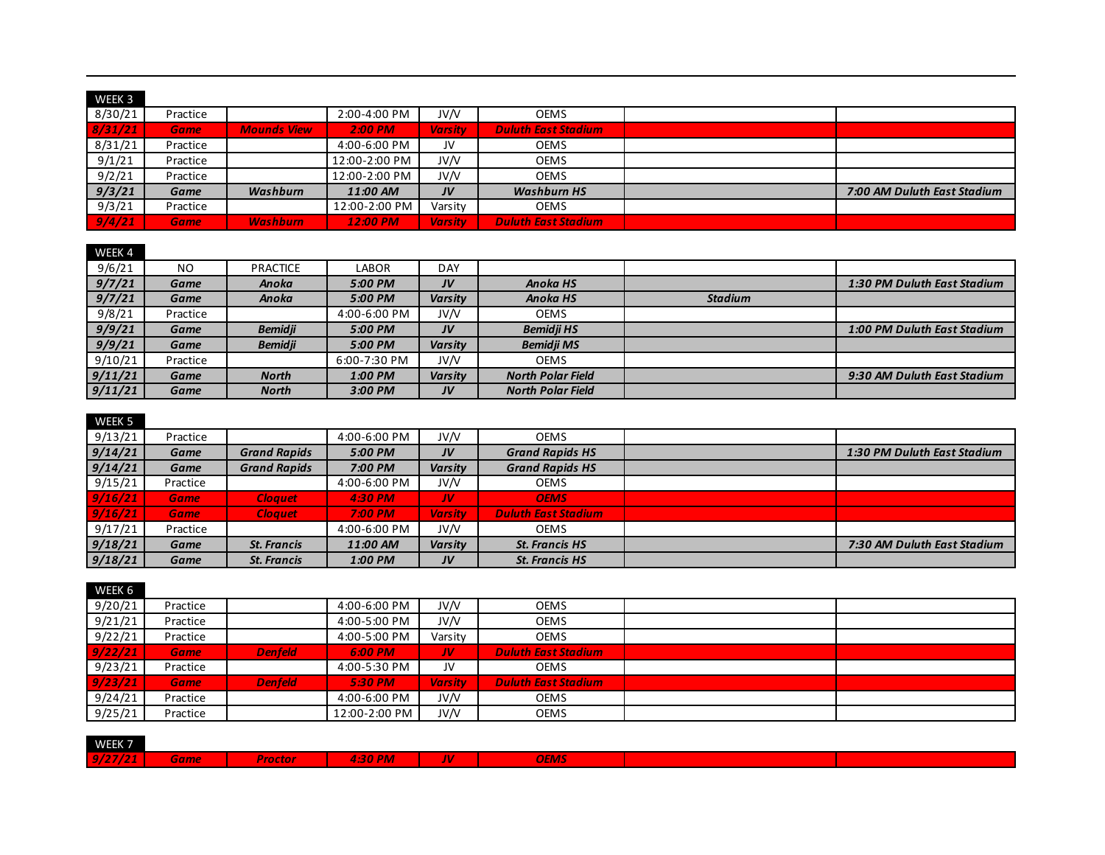| WEEK 3  |              |                    |               |                |                            |                             |
|---------|--------------|--------------------|---------------|----------------|----------------------------|-----------------------------|
| 8/30/21 | Practice     |                    | 2:00-4:00 PM  | JV/V           | <b>OEMS</b>                |                             |
| 8/31/21 | <b>Gamer</b> | <b>Mounds View</b> | $2:00$ PM     | <b>Varsity</b> | <b>Duluth East Stadium</b> |                             |
| 8/31/21 | Practice     |                    | 4:00-6:00 PM  | JV             | <b>OEMS</b>                |                             |
| 9/1/21  | Practice     |                    | 12:00-2:00 PM | JV/V           | <b>OEMS</b>                |                             |
| 9/2/21  | Practice     |                    | 12:00-2:00 PM | JV/V           | <b>OEMS</b>                |                             |
| 9/3/21  | Game         | Washburn           | 11:00 AM      | JV             | <b>Washburn HS</b>         | 7:00 AM Duluth East Stadium |
| 9/3/21  | Practice     |                    | 12:00-2:00 PM | Varsity        | <b>OEMS</b>                |                             |
| 9/4/21  | <b>Game</b>  | <b>Washburn</b>    | 12:00 PM      | <b>Varsity</b> | <b>Duluth East Stadium</b> |                             |

#### WEEK 4

| ------  |             |                 |              |                |                          |                |                             |
|---------|-------------|-----------------|--------------|----------------|--------------------------|----------------|-----------------------------|
| 9/6/21  | NO.         | <b>PRACTICE</b> | LABOR        | DAY            |                          |                |                             |
| 9/7/21  | Game        | Anoka           | 5:00 PM      | JV             | <b>Anoka HS</b>          |                | 1:30 PM Duluth East Stadium |
| 9/7/21  | Game        | Anoka           | 5:00 PM      | <b>Varsity</b> | <b>Anoka HS</b>          | <b>Stadium</b> |                             |
| 9/8/21  | Practice    |                 | 4:00-6:00 PM | JV/V           | <b>OEMS</b>              |                |                             |
| 9/9/21  | <b>Game</b> | <b>Bemidii</b>  | 5:00 PM      | JV             | <b>Bemidji HS</b>        |                | 1:00 PM Duluth East Stadium |
| 9/9/21  | Game        | <b>Bemidji</b>  | 5:00 PM      | <b>Varsity</b> | <b>Bemidji MS</b>        |                |                             |
| 9/10/21 | Practice    |                 | 6:00-7:30 PM | JV/V           | <b>OEMS</b>              |                |                             |
| 9/11/21 | Game        | <b>North</b>    | 1:00 PM      | <b>Varsity</b> | <b>North Polar Field</b> |                | 9:30 AM Duluth East Stadium |
| 9/11/21 | Game        | <b>North</b>    | 3:00 PM      | JV             | <b>North Polar Field</b> |                |                             |

## WFFK<sub>5</sub>

| 9/13/21 | Practice    |                     | 4:00-6:00 PM | JV/V           | <b>OEMS</b>                |                             |
|---------|-------------|---------------------|--------------|----------------|----------------------------|-----------------------------|
| 9/14/21 | Game        | <b>Grand Rapids</b> | 5:00 PM      | JV             | <b>Grand Rapids HS</b>     | 1:30 PM Duluth East Stadium |
| 9/14/21 | Game        | <b>Grand Rapids</b> | 7:00 PM      | Varsity        | <b>Grand Rapids HS</b>     |                             |
| 9/15/21 | Practice    |                     | 4:00-6:00 PM | JV/V           | <b>OEMS</b>                |                             |
| 9/16/21 | <b>Game</b> | <b>Cloauet</b>      | 4:30 PM      | IV             | <b>OEMS</b>                |                             |
| 9/16/21 | <b>Game</b> | <b>Cloauet</b>      | 7:00 PM      | <b>Varsity</b> | <b>Duluth East Stadium</b> |                             |
| 9/17/21 | Practice    |                     | 4:00-6:00 PM | JV/V           | <b>OEMS</b>                |                             |
| 9/18/21 | Game        | <b>St. Francis</b>  | 11:00 AM     | Varsity        | <b>St. Francis HS</b>      | 7:30 AM Duluth East Stadium |
| 9/18/21 | Game        | <b>St. Francis</b>  | 1:00 PM      | JV             | <b>St. Francis HS</b>      |                             |

#### WFFK 6

| 9/20/21 | Practice    |                | 4:00-6:00 PM  | JV/V           | OEMS                       |  |
|---------|-------------|----------------|---------------|----------------|----------------------------|--|
| 9/21/21 | Practice    |                | 4:00-5:00 PM  | JV/V           | <b>OEMS</b>                |  |
| 9/22/21 | Practice    |                | 4:00-5:00 PM  | Varsity        | OEMS                       |  |
| 9/22/21 | <b>Game</b> | <b>Denfeld</b> | 6:00 PM       | /IV            | <b>Duluth East Stadium</b> |  |
| 9/23/21 | Practice    |                | 4:00-5:30 PM  | JV             | <b>OEMS</b>                |  |
| 9/23/21 | <b>Game</b> | <b>Denfeld</b> | 5:30 PM       | <b>Varsity</b> | <b>Duluth East Stadium</b> |  |
| 9/24/21 | Practice    |                | 4:00-6:00 PM  | JV/V           | OEMS                       |  |
| 9/25/21 | Practice    |                | 12:00-2:00 PM | JV/V           | <b>OEMS</b>                |  |

| WEEK 7  |             |                |                                          |                         |             |  |
|---------|-------------|----------------|------------------------------------------|-------------------------|-------------|--|
| 9/27/21 | <b>Game</b> | <b>Proctor</b> | <b>30 PM</b><br><b>Contract Contract</b> | $\boldsymbol{H}$<br>. . | <b>OEMS</b> |  |